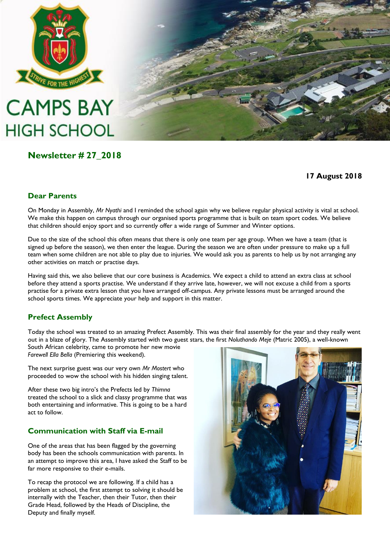

# **CAMPS BAY HIGH SCHOOL**

### **Newsletter # 27\_2018**

**17 August 2018**

#### **Dear Parents**

On Monday in Assembly, *Mr Nyathi* and I reminded the school again why we believe regular physical activity is vital at school. We make this happen on campus through our organised sports programme that is built on team sport codes. We believe that children should enjoy sport and so currently offer a wide range of Summer and Winter options.

Due to the size of the school this often means that there is only one team per age group. When we have a team (that is signed up before the season), we then enter the league. During the season we are often under pressure to make up a full team when some children are not able to play due to injuries. We would ask you as parents to help us by not arranging any other activities on match or practise days.

Having said this, we also believe that our core business is Academics. We expect a child to attend an extra class at school before they attend a sports practise. We understand if they arrive late, however, we will not excuse a child from a sports practise for a private extra lesson that you have arranged off-campus. Any private lessons must be arranged around the school sports times. We appreciate your help and support in this matter.

#### **Prefect Assembly**

Today the school was treated to an amazing Prefect Assembly. This was their final assembly for the year and they really went out in a blaze of glory. The Assembly started with two guest stars, the first *Noluthando Meje* (Matric 2005), a well-known

South African celebrity, came to promote her new movie *Farewell Ella Bella* (Premiering this weekend).

The next surprise guest was our very own *Mr Mostert* who proceeded to wow the school with his hidden singing talent.

After these two big intro's the Prefects led by *Thimna* treated the school to a slick and classy programme that was both entertaining and informative. This is going to be a hard act to follow.

#### **Communication with Staff via E-mail**

One of the areas that has been flagged by the governing body has been the schools communication with parents. In an attempt to improve this area, I have asked the Staff to be far more responsive to their e-mails.

To recap the protocol we are following. If a child has a problem at school, the first attempt to solving it should be internally with the Teacher, then their Tutor, then their Grade Head, followed by the Heads of Discipline, the Deputy and finally myself.

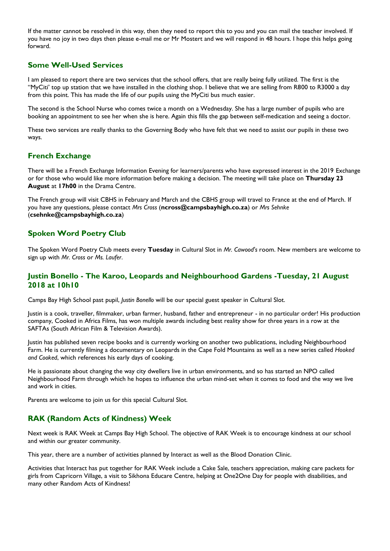If the matter cannot be resolved in this way, then they need to report this to you and you can mail the teacher involved. If you have no joy in two days then please e-mail me or Mr Mostert and we will respond in 48 hours. I hope this helps going forward.

#### **Some Well-Used Services**

I am pleased to report there are two services that the school offers, that are really being fully utilized. The first is the "MyCiti' top up station that we have installed in the clothing shop. I believe that we are selling from R800 to R3000 a day from this point. This has made the life of our pupils using the MyCiti bus much easier.

The second is the School Nurse who comes twice a month on a Wednesday. She has a large number of pupils who are booking an appointment to see her when she is here. Again this fills the gap between self-medication and seeing a doctor.

These two services are really thanks to the Governing Body who have felt that we need to assist our pupils in these two ways.

#### **French Exchange**

There will be a French Exchange Information Evening for learners/parents who have expressed interest in the 2019 Exchange or for those who would like more information before making a decision. The meeting will take place on **Thursday 23 August** at **17h00** in the Drama Centre.

The French group will visit CBHS in February and March and the CBHS group will travel to France at the end of March. If you have any questions, please contact *Mrs Cross* (**[ncross@campsbayhigh.co.za](mailto:ncross@campsbayhigh.co.za)**) or *Mrs Sehnke* (**[csehnke@campsbayhigh.co.za](mailto:csehnke@campsbayhigh.co.za)**)

#### **Spoken Word Poetry Club**

The Spoken Word Poetry Club meets every **Tuesday** in Cultural Slot in *Mr. Cawood's* room. New members are welcome to sign up with *Mr. Cross* or *Ms. Laufer*.

#### **Justin Bonello - The Karoo, Leopards and Neighbourhood Gardens -Tuesday, 21 August 2018 at 10h10**

Camps Bay High School past pupil, *Justin Bonello* will be our special guest speaker in Cultural Slot.

Justin is a cook, traveller, filmmaker, urban farmer, husband, father and entrepreneur - in no particular order! His production company, Cooked in Africa Films, has won multiple awards including best reality show for three years in a row at the SAFTAs (South African Film & Television Awards).

Justin has published seven recipe books and is currently working on another two publications, including Neighbourhood Farm. He is currently filming a documentary on Leopards in the Cape Fold Mountains as well as a new series called *Hooked and Cooked*, which references his early days of cooking.

He is passionate about changing the way city dwellers live in urban environments, and so has started an NPO called Neighbourhood Farm through which he hopes to influence the urban mind-set when it comes to food and the way we live and work in cities.

Parents are welcome to join us for this special Cultural Slot.

#### **RAK (Random Acts of Kindness) Week**

Next week is RAK Week at Camps Bay High School. The objective of RAK Week is to encourage kindness at our school and within our greater community.

This year, there are a number of activities planned by Interact as well as the Blood Donation Clinic.

Activities that Interact has put together for RAK Week include a Cake Sale, teachers appreciation, making care packets for girls from Capricorn Village, a visit to Sikhona Educare Centre, helping at One2One Day for people with disabilities, and many other Random Acts of Kindness!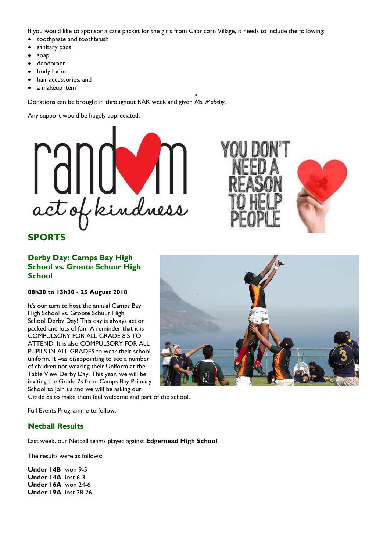If you would like to sponsor a care packet for the girls from Capricorn Village, it needs to include the following:

 $\bullet$ 

- toothpaste and toothbrush
- sanitary pads
- soap
- deodorant
- body lotion
- hair accessories, and
- a makeup item

Donations can be brought in throughout RAK week and given *Ms. Mobsby*.

Any support would be hugely appreciated.



#### **SPORTS**

#### **Derby Day: Camps Bay High School vs. Groote Schuur High School**

**08h30 to 13h30 - 25 August 2018**

It's our turn to host the annual Camps Bay High School vs. [Groote Schuur High](https://www.facebook.com/pages/Groote-Schuur-High-School/1987100324866407?fref=mentions)  [School](https://www.facebook.com/pages/Groote-Schuur-High-School/1987100324866407?fref=mentions) Derby Day! This day is always action packed and lots of fun! A reminder that it is COMPULSORY FOR ALL GRADE 8'S TO ATTEND. It is also COMPULSORY FOR ALL PUPILS IN ALL GRADES to wear their school uniform. It was disappointing to see a number of children not wearing their Uniform at the Table View Derby Day. This year, we will be inviting the Grade 7s from Camps Bay Primary School to join us and we will be asking our

Grade 8s to make them feel welcome and part of the school.

Full Events Programme to follow.

#### **Netball Results**

Last week, our Netball teams played against **[Edgemead High School](https://www.facebook.com/EdgemeadHighSchool/?fref=mentions)**.

The results were as follows:

**Under 14B** won 9-5 **Under 14A** lost 6-3 **Under 16A** won 24-6 **Under 19A** lost 28-26.



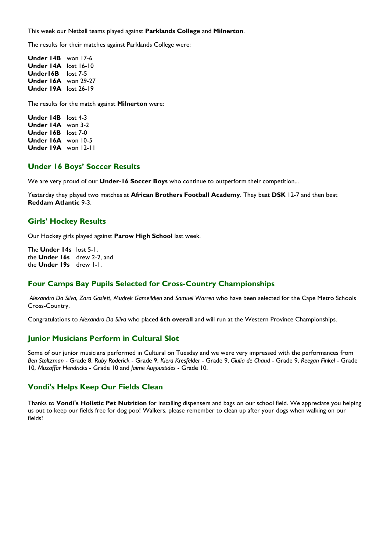This week our Netball teams played against **Parklands College** and **Milnerton**.

The results for their matches against Parklands College were:

**Under 14B** won 17-6 **Under 14A** lost 16-10 **Under16B** lost 7-5 **Under 16A** won 29-27 **Under 19A** lost 26-19

The results for the match against **Milnerton** were:

**Under 14B** lost 4-3 **Under 14A** won 3-2 **Under 16B** lost 7-0 **Under 16A** won 10-5 **Under 19A** won 12-11

#### **Under 16 Boys' Soccer Results**

We are very proud of our **Under-16 Soccer Boys** who continue to outperform their competition...

Yesterday they played two matches at **[African Brothers Football Academy](https://www.facebook.com/AfricanBrothersFootballAcademy/?fref=mentions)**. They beat **DSK** 12-7 and then beat **Reddam Atlantic** 9-3.

#### **Girls' Hockey Results**

Our Hockey girls played against **[Parow High School](https://www.facebook.com/pages/Parow-High-School/114907498521925?fref=mentions)** last week.

The **Under 14s** lost 5-1, the **Under 16s** drew 2-2, and the **Under 19s** drew 1-1.

#### **Four Camps Bay Pupils Selected for Cross-Country Championships**

*Alexandro Da Silva*, *Zara Goslett*, *Mudrek Gameildien* and *Samuel Warren* who have been selected for the Cape Metro Schools Cross-Country.

Congratulations to *Alexandro Da Silva* who placed **6th overall** and will run at the Western Province Championships.

#### **Junior Musicians Perform in Cultural Slot**

Some of our junior musicians performed in Cultural on Tuesday and we were very impressed with the performances from *Ben Stoltzman* - Grade 8, *Ruby Roderick* - Grade 9, *Kiera Kresfelder* - Grade 9, *Giulia de Chaud* - Grade 9, *Reegan Finkel* - Grade 10, *Muzaffar Hendricks* - Grade 10 and *Jaime Augoustides* - Grade 10.

#### **Vondi's Helps Keep Our Fields Clean**

Thanks to **[Vondi's Holistic Pet Nutrition](https://www.facebook.com/Vondispetnutrition/?fref=mentions)** for installing dispensers and bags on our school field. We appreciate you helping us out to keep our fields free for dog poo! Walkers, please remember to clean up after your dogs when walking on our fields!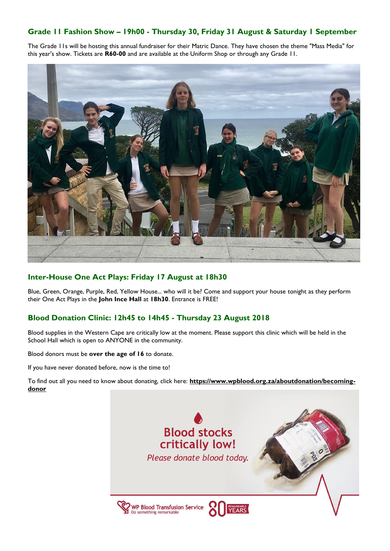#### **Grade 11 Fashion Show – 19h00 - Thursday 30, Friday 31 August & Saturday 1 September**

The Grade 11s will be hosting this annual fundraiser for their Matric Dance. They have chosen the theme "Mass Media" for this year's show. Tickets are **R60-00** and are available at the Uniform Shop or through any Grade 11.



#### **Inter-House One Act Plays: Friday 17 August at 18h30**

Blue, Green, Orange, Purple, Red, Yellow House... who will it be? Come and support your house tonight as they perform their One Act Plays in the **John Ince Hall** at **18h30**. Entrance is FREE!

#### **Blood Donation Clinic: 12h45 to 14h45 - Thursday 23 August 2018**

Blood supplies in the Western Cape are critically low at the moment. Please support this clinic which will be held in the School Hall which is open to ANYONE in the community.

Blood donors must be **over the age of 16** to donate.

If you have never donated before, now is the time to!

To find out all you need to know about donating, click here: **[https://www.wpblood.org.za/aboutdonation/becoming](https://l.facebook.com/l.php?u=https%3A%2F%2Fwww.wpblood.org.za%2Faboutdonation%2Fbecoming-donor&h=AT1HPibv4DPZWwchir-RjHIctl9dAoSMGQ5hZUsfjgld9OzIzbWBmeNltgUvohMUqy9hrhGYhXij4kWOuJLwYr3TMhhSB_M_OOFHVTHQy5twhsr0kOzrzBVT_dq66E3i8afJ9quTWWHF0PtnGVDC_I31og)[donor](https://l.facebook.com/l.php?u=https%3A%2F%2Fwww.wpblood.org.za%2Faboutdonation%2Fbecoming-donor&h=AT1HPibv4DPZWwchir-RjHIctl9dAoSMGQ5hZUsfjgld9OzIzbWBmeNltgUvohMUqy9hrhGYhXij4kWOuJLwYr3TMhhSB_M_OOFHVTHQy5twhsr0kOzrzBVT_dq66E3i8afJ9quTWWHF0PtnGVDC_I31og)**

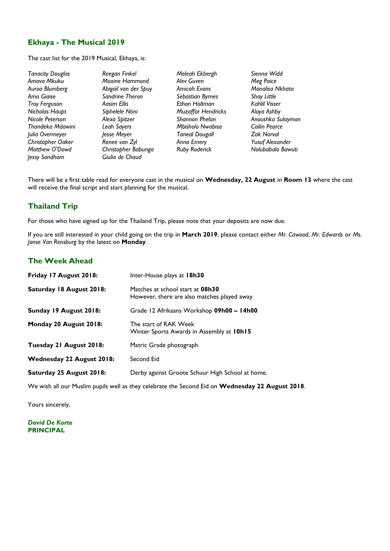#### **Ekhaya - The Musical 2019**

The cast list for the 2019 Musical, Ekhaya, is:

*Tanacity Douglas Reegan Finkel Meleah Ekbergh Sienna Widd Jessy Sandham Giulia de Chaud*

*Amava Mkuku Maxine Hammond Alev Guven Meg Paice Auroa Blumberg Abigail van der Spuy Amicah Evans Monalisa Nkhata Ama Giaise Sandrine Theron Sebastian Byrnes Shay Little Nicholas Haupt Siphelele Ntini Muzaffar Hendricks Alaya Ashby Nicole Peterson Alexa Spitzer Shannon Phelan Anoushka Sulayman Thandeka Mdawini Leah Sayers Mbisholo Nwabisa Cailin Pearce Julia Overmeyer Jesse Meyer Taneal Dougall Zak Norval Christopher Oaker Renee van Zyl Anna Emery Yusuf Alexander Matthew O'Dowd Christopher Babunga Ruby Roderick Nolubabalo Bawuti*

 $E$ *than Holtman* 

There will be a first table read for everyone cast in the musical on **Wednesday, 22 August** in **Room 13** where the cast will receive the final script and start planning for the musical.

#### **Thailand Trip**

For those who have signed up for the Thailand Trip, please note that your deposits are now due.

If you are still interested in your child going on the trip in **March 2019**, please contact either *Mr. Cawood*, *Mr. Edwards* or *Ms. Janse Van Rensburg* by the latest on **Monday**.

#### **The Week Ahead**

| Friday 17 August 2018:           | Inter-House plays at 18h30                                                      |
|----------------------------------|---------------------------------------------------------------------------------|
| Saturday 18 August 2018:         | Matches at school start at 08h30<br>However, there are also matches played away |
| Sunday 19 August 2018:           | Grade 12 Afrikaans Workshop 09h00 - 14h00                                       |
| Monday 20 August 2018:           | The start of RAK Week<br>Winter Sports Awards in Assembly at 10h15              |
| Tuesday 21 August 2018:          | Matric Grade photograph                                                         |
| <b>Wednesday 22 August 2018:</b> | Second Eid                                                                      |
| Saturday 25 August 2018:         | Derby against Groote Schuur High School at home.                                |

We wish all our Muslim pupils well as they celebrate the Second Eid on **Wednesday 22 August 2018**.

Yours sincerely,

*David De Korte* **PRINCIPAL**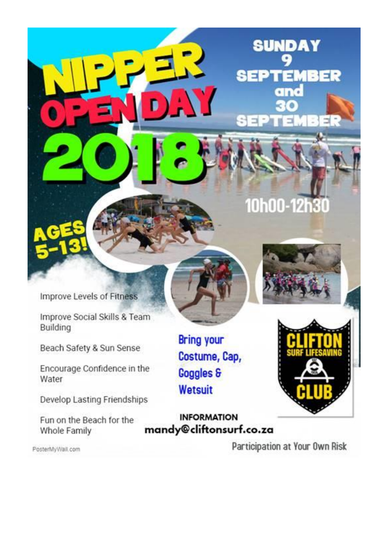Improve Levels of Fitness

Improve Social Skills & Team Building

Beach Safety & Sun Sense

Encourage Confidence in the Water

Develop Lasting Friendships

Fun on the Beach for the Whole Family

**Bring your** Costume, Cap, **Goggles & Wetsuit** 

**INFORMATION** mandy@cliftonsurf.co.za

Participation at Your Own Risk

PosterMyWall.com

10h00-12h30

**SUNDAY** 

**SEPTEMBER** 

and



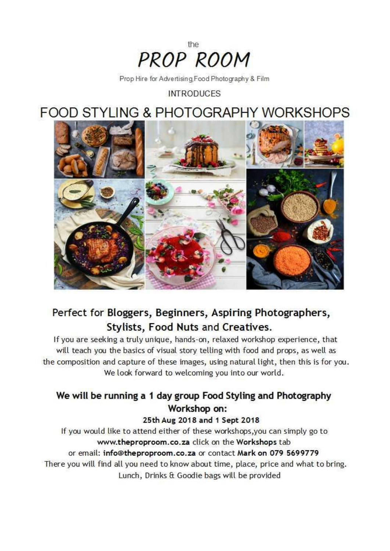

Prop Hire for Advertising Food Photography & Film

**INTRODUCES** 

**FOOD STYLING & PHOTOGRAPHY WORKSHOPS** 



## Perfect for Bloggers, Beginners, Aspiring Photographers, Stylists, Food Nuts and Creatives.

If you are seeking a truly unique, hands-on, relaxed workshop experience, that will teach you the basics of visual story telling with food and props, as well as the composition and capture of these images, using natural light, then this is for you. We look forward to welcoming you into our world.

## We will be running a 1 day group Food Styling and Photography Workshop on:

25th Aug 2018 and 1 Sept 2018

If you would like to attend either of these workshops, you can simply go to www.theproproom.co.za click on the Workshops tab or email: info@theproproom.co.za or contact Mark on 079 5699779

There you will find all you need to know about time, place, price and what to bring. Lunch, Drinks & Goodie bags will be provided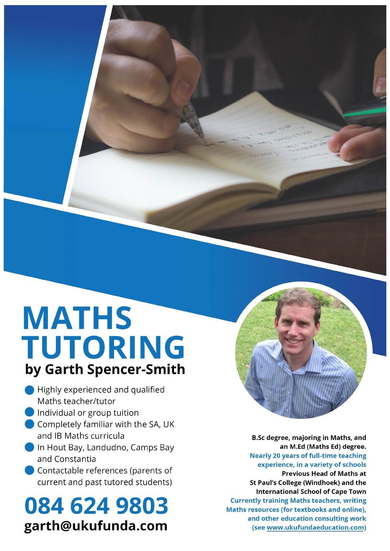# **MATHS** TUTORING by Garth Spencer-Smith

- Highly experienced and qualified Maths teacher/tutor
- Individual or group tuition
- Completely familiar with the SA, UK and IB Maths curricula
- In Hout Bay, Landudno, Camps Bay and Constantia
- Contactable references (parents of current and past tutored students)

# 084 624 9803 garth@ukufunda.com

**B.Sc degree, majoring in Maths, and** an M.Ed (Maths Ed) degree. **Nearly 20 years of full-time teaching** experience, in a variety of schools **Previous Head of Maths at** St Paul's College (Windhoek) and the **International School of Cape Town Currently training Maths teachers, writing** Maths resources (for textbooks and online), and other education consulting work (see www.ukufundaeducation.com)